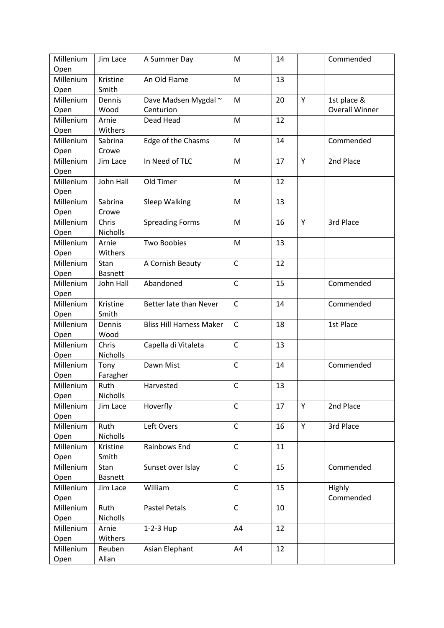| Millenium | Jim Lace        | A Summer Day                    | M            | 14 |   | Commended             |
|-----------|-----------------|---------------------------------|--------------|----|---|-----------------------|
| Open      |                 |                                 |              |    |   |                       |
| Millenium | Kristine        | An Old Flame                    | M            | 13 |   |                       |
| Open      | Smith           |                                 |              |    |   |                       |
| Millenium | Dennis          | Dave Madsen Mygdal ~            | M            | 20 | Y | 1st place &           |
| Open      | Wood            | Centurion                       |              |    |   | <b>Overall Winner</b> |
| Millenium | Arnie           | Dead Head                       | M            | 12 |   |                       |
| Open      | Withers         |                                 |              |    |   |                       |
| Millenium | Sabrina         | Edge of the Chasms              | M            | 14 |   | Commended             |
| Open      | Crowe           |                                 |              |    |   |                       |
| Millenium | Jim Lace        | In Need of TLC                  | M            | 17 | Y | 2nd Place             |
| Open      |                 |                                 |              |    |   |                       |
| Millenium | John Hall       | Old Timer                       | M            | 12 |   |                       |
| Open      |                 |                                 |              |    |   |                       |
| Millenium | Sabrina         | Sleep Walking                   | M            | 13 |   |                       |
| Open      | Crowe           |                                 |              |    |   |                       |
| Millenium | Chris           | <b>Spreading Forms</b>          | M            | 16 | Y | 3rd Place             |
| Open      | <b>Nicholls</b> |                                 |              |    |   |                       |
| Millenium | Arnie           | <b>Two Boobies</b>              | M            | 13 |   |                       |
| Open      | Withers         |                                 |              |    |   |                       |
| Millenium | Stan            | A Cornish Beauty                | $\mathsf{C}$ | 12 |   |                       |
| Open      | <b>Basnett</b>  |                                 |              |    |   |                       |
| Millenium | John Hall       | Abandoned                       | $\mathsf C$  | 15 |   | Commended             |
| Open      |                 |                                 |              |    |   |                       |
| Millenium | Kristine        | Better late than Never          | $\mathsf{C}$ | 14 |   | Commended             |
| Open      | Smith           |                                 |              |    |   |                       |
| Millenium | Dennis          | <b>Bliss Hill Harness Maker</b> | C            | 18 |   | 1st Place             |
| Open      | Wood            |                                 |              |    |   |                       |
| Millenium | Chris           | Capella di Vitaleta             | $\mathsf{C}$ | 13 |   |                       |
| Open      | Nicholls        |                                 |              |    |   |                       |
| Millenium | Tony            | Dawn Mist                       | $\mathsf C$  | 14 |   | Commended             |
| Open      | Faragher        |                                 |              |    |   |                       |
| Millenium | Ruth            | Harvested                       | C            | 13 |   |                       |
| Open      | Nicholls        |                                 |              |    |   |                       |
| Millenium | Jim Lace        | Hoverfly                        | $\mathsf{C}$ | 17 | Y | 2nd Place             |
| Open      |                 |                                 |              |    |   |                       |
| Millenium | Ruth            | Left Overs                      | $\mathsf{C}$ | 16 | Y | 3rd Place             |
| Open      | Nicholls        |                                 |              |    |   |                       |
| Millenium | Kristine        | Rainbows End                    | $\mathsf{C}$ | 11 |   |                       |
| Open      | Smith           |                                 |              |    |   |                       |
| Millenium | Stan            | Sunset over Islay               | C            | 15 |   | Commended             |
| Open      | <b>Basnett</b>  |                                 |              |    |   |                       |
| Millenium | Jim Lace        | William                         | $\mathsf{C}$ | 15 |   | Highly                |
| Open      |                 |                                 |              |    |   | Commended             |
| Millenium | Ruth            | <b>Pastel Petals</b>            | $\mathsf C$  | 10 |   |                       |
| Open      | <b>Nicholls</b> |                                 |              |    |   |                       |
| Millenium | Arnie           | 1-2-3 Hup                       | A4           | 12 |   |                       |
| Open      | Withers         |                                 |              |    |   |                       |
| Millenium | Reuben          | Asian Elephant                  | A4           | 12 |   |                       |
| Open      | Allan           |                                 |              |    |   |                       |